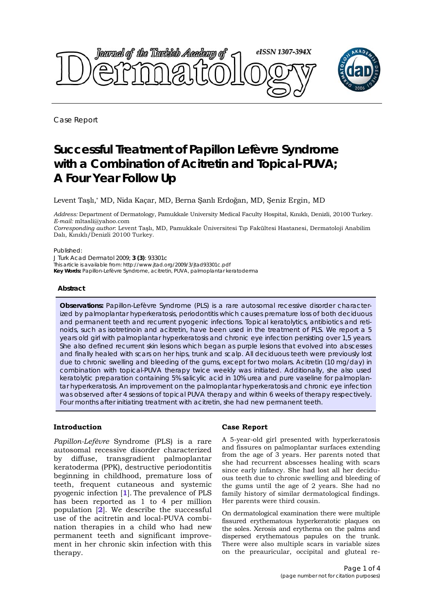

Case Report

# **Successful Treatment of Papillon Lefèvre Syndrome with a Combination of Acitretin and Topical-PUVA; A Four Year Follow Up**

Levent Taşlı,\* MD, Nida Kaçar, MD, Berna Şanlı Erdoğan, MD, Şeniz Ergin, MD

*Address:* Department of Dermatology, Pamukkale University Medical Faculty Hospital, Kınıklı, Denizli, 20100 Turkey. *E-mail:* mltasli@yahoo.com

*Corresponding author*: Levent Taşlı, MD, Pamukkale Üniversitesi Tıp Fakültesi Hastanesi, Dermatoloji Anabilim Dalı, Kınıklı/Denizli 20100 Turkey.

#### Published:

*J Turk Acad Dermatol* 2009; **3 (3)**: 93301c This article is available from: http://www.jtad.org/2009/3/jtad93301c.pdf **Key Words:** Papillon-Lefèvre Syndrome, acitretin, PUVA, palmoplantar keratoderma

#### **Abstract**

**Observations:** *Papillon-Lefèvre* Syndrome (PLS) is a rare autosomal recessive disorder characterized by palmoplantar hyperkeratosis, periodontitis which causes premature loss of both deciduous and permanent teeth and recurrent pyogenic infections. Topical keratolytics, antibiotics and retinoids, such as isotretinoin and acitretin, have been used in the treatment of PLS. We report a 5 years old girl with palmoplantar hyperkeratosis and chronic eye infection persisting over 1,5 years. She also defined recurrent skin lesions which began as purple lesions that evolved into abscesses and finally healed with scars on her hips, trunk and scalp. All deciduous teeth were previously lost due to chronic swelling and bleeding of the gums, except for two molars. Acitretin (10 mg/day) in combination with topical-PUVA therapy twice weekly was initiated. Additionally, she also used keratolytic preparation containing 5% salicylic acid in 10% urea and pure vaseline for palmoplantar hyperkeratosis. An improvement on the palmoplantar hyperkeratosis and chronic eye infection was observed after 4 sessions of topical PUVA therapy and within 6 weeks of therapy respectively. Four months after initiating treatment with acitretin, she had new permanent teeth.

# **Introduction**

*Papillon-Lefèvre* Syndrome (PLS) is a rare autosomal recessive disorder characterized by diffuse, transgradient palmoplantar keratoderma (PPK), destructive periodontitis beginning in childhood, premature loss of teeth, frequent cutaneous and systemic pyogenic infection [**1**]. The prevalence of PLS has been reported as 1 to 4 per million population [**2**]. We describe the successful use of the acitretin and local-PUVA combination therapies in a child who had new permanent teeth and significant improvement in her chronic skin infection with this therapy.

# **Case Report**

A 5-year-old girl presented with hyperkeratosis and fissures on palmoplantar surfaces extending from the age of 3 years. Her parents noted that she had recurrent abscesses healing with scars since early infancy. She had lost all her deciduous teeth due to chronic swelling and bleeding of the gums until the age of 2 years. She had no family history of similar dermatological findings. Her parents were third cousin.

On dermatological examination there were multiple fissured erythematous hyperkeratotic plaques on the soles. Xerosis and erythema on the palms and dispersed erythematous papules on the trunk. There were also multiple scars in variable sizes on the preauricular, occipital and gluteal re-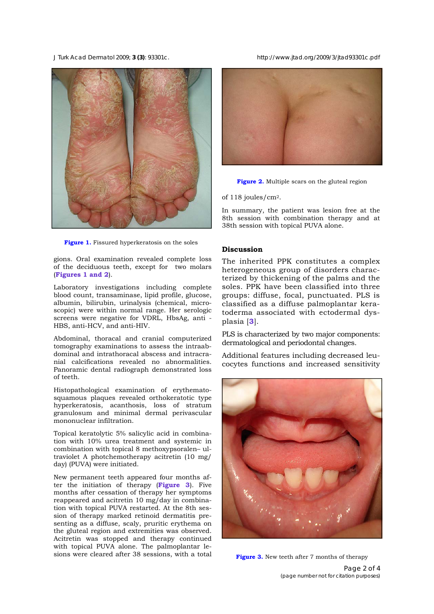

**Figure 1.** Fissured hyperkeratosis on the soles

gions. Oral examination revealed complete loss of the deciduous teeth, except for two molars (**Figures 1 and 2**).

Laboratory investigations including complete blood count, transaminase, lipid profile, glucose, albumin, bilirubin, urinalysis (chemical, microscopic) were within normal range. Her serologic screens were negative for VDRL, HbsAg, anti - HBS, anti-HCV, and anti-HIV.

Abdominal, thoracal and cranial computerized tomography examinations to assess the intraabdominal and intrathoracal abscess and intracranial calcifications revealed no abnormalities. Panoramic dental radiograph demonstrated loss of teeth.

Histopathological examination of erythematosquamous plaques revealed orthokeratotic type hyperkeratosis, acanthosis, loss of stratum granulosum and minimal dermal perivascular mononuclear infiltration.

Topical keratolytic 5% salicylic acid in combination with 10% urea treatment and systemic in combination with topical 8 methoxypsoralen– ultraviolet A photchemotherapy acitretin (10 mg/ day) (PUVA) were initiated.

New permanent teeth appeared four months after the initiation of therapy (**Figure 3**). Five months after cessation of therapy her symptoms reappeared and acitretin 10 mg/day in combination with topical PUVA restarted. At the 8th session of therapy marked retinoid dermatitis presenting as a diffuse, scaly, pruritic erythema on the gluteal region and extremities was observed. Acitretin was stopped and therapy continued with topical PUVA alone. The palmoplantar lesions were cleared after 38 sessions, with a total

*J Turk Acad Dermatol* 2009; **3 (3)**: 93301c. http://www.jtad.org/2009/3/jtad93301c.pdf





of 118 joules/cm2.

In summary, the patient was lesion free at the 8th session with combination therapy and at 38th session with topical PUVA alone.

#### **Discussion**

The inherited PPK constitutes a complex heterogeneous group of disorders characterized by thickening of the palms and the soles. PPK have been classified into three groups: diffuse, focal, punctuated. PLS is classified as a diffuse palmoplantar keratoderma associated with ectodermal dysplasia [**3**].

PLS is characterized by two major components: dermatological and periodontal changes.

Additional features including decreased leucocytes functions and increased sensitivity



**Figure 3.** New teeth after 7 months of therapy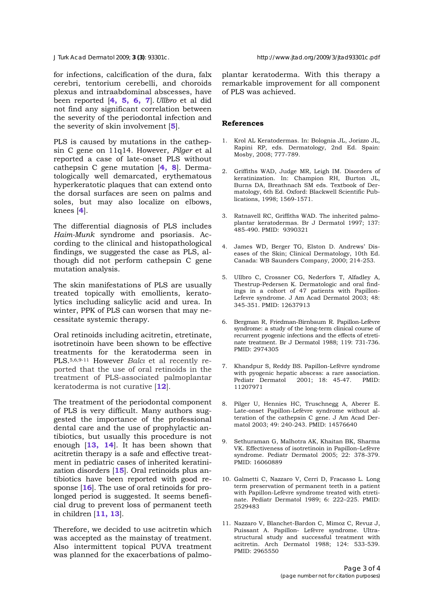*J Turk Acad Dermatol* 2009; **3 (3)**: 93301c. http://www.jtad.org/2009/3/jtad93301c.pdf

for infections, calcification of the dura, falx cerebri, tentorium cerebelli, and choroids plexus and intraabdominal abscesses, have been reported [**4, 5, 6, 7**]. *Ullbro* et al did not find any significant correlation between the severity of the periodontal infection and the severity of skin involvement [**5**].

PLS is caused by mutations in the cathepsin C gene on 11q14. However, *Pilger* et al reported a case of late-onset PLS without cathepsin C gene mutation [**4, 8**]. Dermatologically well demarcated, erythematous hyperkeratotic plaques that can extend onto the dorsal surfaces are seen on palms and soles, but may also localize on elbows, knees [**4**].

The differential diagnosis of PLS includes *Haim-Munk* syndrome and psoriasis. According to the clinical and histopathological findings, we suggested the case as PLS, although did not perform cathepsin C gene mutation analysis.

The skin manifestations of PLS are usually treated topically with emollients, keratolytics including salicylic acid and urea. In winter, PPK of PLS can worsen that may necessitate systemic therapy.

Oral retinoids including acitretin, etretinate, isotretinoin have been shown to be effective treatments for the keratoderma seen in PLS.5,6,9-11 However *Balcı* et al recently reported that the use of oral retinoids in the treatment of PLS-associated palmoplantar keratoderma is not curative [**12**].

The treatment of the periodontal component of PLS is very difficult. Many authors suggested the importance of the professional dental care and the use of prophylactic antibiotics, but usually this procedure is not enough [**13, 14**]. It has been shown that acitretin therapy is a safe and effective treatment in pediatric cases of inherited keratinization disorders [**15**]. Oral retinoids plus antibiotics have been reported with good response [**16**]. The use of oral retinoids for prolonged period is suggested. It seems beneficial drug to prevent loss of permanent teeth in children [**11, 13**].

Therefore, we decided to use acitretin which was accepted as the mainstay of treatment. Also intermittent topical PUVA treatment was planned for the exacerbations of palmoplantar keratoderma. With this therapy a remarkable improvement for all component of PLS was achieved.

# **References**

- 1. Krol AL Keratodermas. In: Bolognia JL, Jorizzo JL, Rapini RP, eds. Dermatology, 2nd Ed. Spain: Mosby, 2008; 777-789.
- 2. Griffiths WAD, Judge MR, Leigh IM. Disorders of keratinization. In: Champion RH, Burton JL, Burns DA, Breathnach SM eds. Textbook of Dermatology, 6th Ed. Oxford: Blackwell Scientific Publications, 1998; 1569-1571.
- 3. Ratnavell RC, Griffiths WAD. The inherited palmoplantar keratodermas. Br J Dermatol 1997; 137: 485-490. PMID: 9390321
- 4. James WD, Berger TG, Elston D. Andrews' Diseases of the Skin; Clinical Dermatology, 10th Ed. Canada: WB Saunders Company, 2000; 214-253.
- 5. Ullbro C, Crossner CG, Nederfors T, Alfadley A, Thestrup-Pedersen K. Dermatologic and oral findings in a cohort of 47 patients with Papillon-Lefevre syndrome. J Am Acad Dermatol 2003; 48: 345-351. PMID: 12637913
- 6. Bergman R, Friedman-Birnbaum R. Papillon-Lefèvre syndrome: a study of the long-term clinical course of recurrent pyogenic infections and the effects of etretinate treatment. Br J Dermatol 1988; 119: 731-736. PMID: 2974305
- 7. Khandpur S, Reddy BS. Papillon-Lefèvre syndrome with pyogenic hepatic abscess: a rare association. Pediatr Dermatol 2001; 18: 45-47. PMID: 11207971
- 8. Pilger U, Hennies HC, Truschnegg A, Aberer E. Late-onset Papillon-Lefèvre syndrome without alteration of the cathepsin C gene. J Am Acad Dermatol 2003; 49: 240-243. PMID: 14576640
- 9. Sethuraman G, Malhotra AK, Khaitan BK, Sharma VK. Effectiveness of isotretinoin in Papillon–Lefèvre syndrome. Pediatr Dermatol 2005; 22: 378-379. PMID: 16060889
- 10. Galmetti C, Nazzaro V, Cerri D, Fracasso L. Long term preservation of permanent teeth in a patient with Papillon-Lefèvre syndrome treated with etretinate. Pediatr Dermatol 1989; 6: 222–225. PMID: 2529483
- 11. Nazzaro V, Blanchet-Bardon C, Mimoz C, Revuz J, Puissant A. Papillon- Lefèvre syndrome. Ultrastructural study and successful treatment with acitretin. Arch Dermatol 1988; 124: 533-539. PMID: 2965550